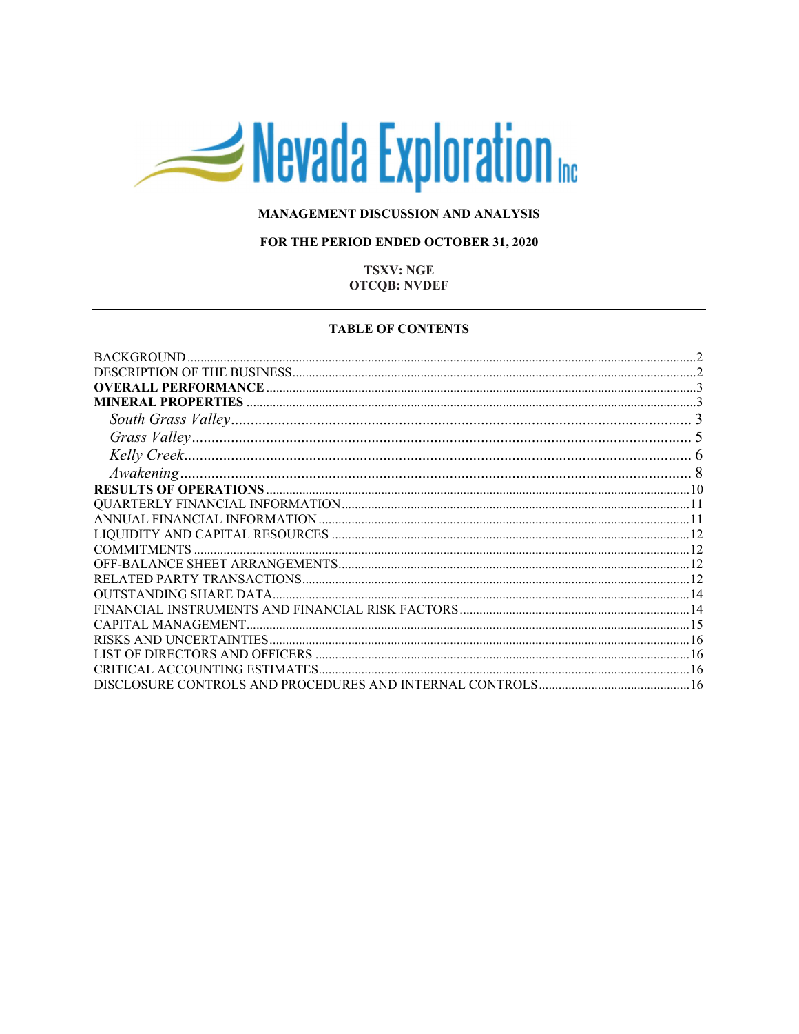# Nevada Exploration

## MANAGEMENT DISCUSSION AND ANALYSIS

## FOR THE PERIOD ENDED OCTOBER 31, 2020

## **TSXV: NGE OTCQB: NVDEF**

#### **TABLE OF CONTENTS**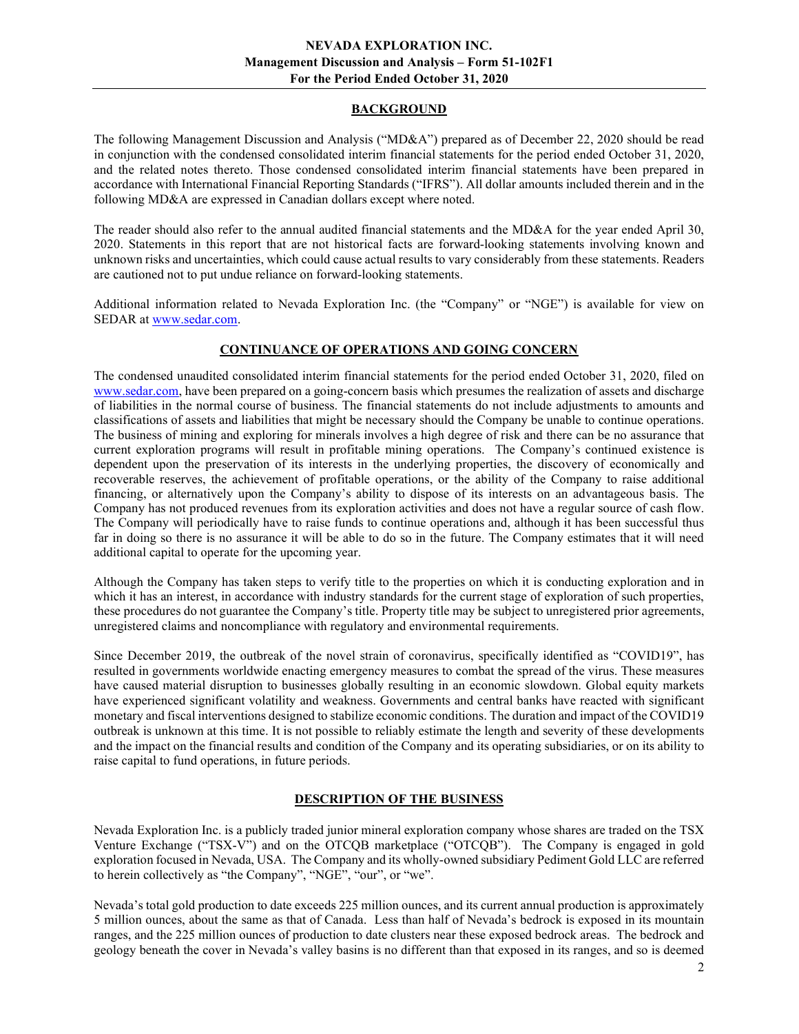## BACKGROUND

The following Management Discussion and Analysis ("MD&A") prepared as of December 22, 2020 should be read in conjunction with the condensed consolidated interim financial statements for the period ended October 31, 2020, and the related notes thereto. Those condensed consolidated interim financial statements have been prepared in accordance with International Financial Reporting Standards ("IFRS"). All dollar amounts included therein and in the following MD&A are expressed in Canadian dollars except where noted.

The reader should also refer to the annual audited financial statements and the MD&A for the year ended April 30, 2020. Statements in this report that are not historical facts are forward-looking statements involving known and unknown risks and uncertainties, which could cause actual results to vary considerably from these statements. Readers are cautioned not to put undue reliance on forward-looking statements.

Additional information related to Nevada Exploration Inc. (the "Company" or "NGE") is available for view on SEDAR at www.sedar.com.

# CONTINUANCE OF OPERATIONS AND GOING CONCERN

The condensed unaudited consolidated interim financial statements for the period ended October 31, 2020, filed on www.sedar.com, have been prepared on a going-concern basis which presumes the realization of assets and discharge of liabilities in the normal course of business. The financial statements do not include adjustments to amounts and classifications of assets and liabilities that might be necessary should the Company be unable to continue operations. The business of mining and exploring for minerals involves a high degree of risk and there can be no assurance that current exploration programs will result in profitable mining operations. The Company's continued existence is dependent upon the preservation of its interests in the underlying properties, the discovery of economically and recoverable reserves, the achievement of profitable operations, or the ability of the Company to raise additional financing, or alternatively upon the Company's ability to dispose of its interests on an advantageous basis. The Company has not produced revenues from its exploration activities and does not have a regular source of cash flow. The Company will periodically have to raise funds to continue operations and, although it has been successful thus far in doing so there is no assurance it will be able to do so in the future. The Company estimates that it will need additional capital to operate for the upcoming year.

Although the Company has taken steps to verify title to the properties on which it is conducting exploration and in which it has an interest, in accordance with industry standards for the current stage of exploration of such properties, these procedures do not guarantee the Company's title. Property title may be subject to unregistered prior agreements, unregistered claims and noncompliance with regulatory and environmental requirements.

Since December 2019, the outbreak of the novel strain of coronavirus, specifically identified as "COVID19", has resulted in governments worldwide enacting emergency measures to combat the spread of the virus. These measures have caused material disruption to businesses globally resulting in an economic slowdown. Global equity markets have experienced significant volatility and weakness. Governments and central banks have reacted with significant monetary and fiscal interventions designed to stabilize economic conditions. The duration and impact of the COVID19 outbreak is unknown at this time. It is not possible to reliably estimate the length and severity of these developments and the impact on the financial results and condition of the Company and its operating subsidiaries, or on its ability to raise capital to fund operations, in future periods.

## DESCRIPTION OF THE BUSINESS

Nevada Exploration Inc. is a publicly traded junior mineral exploration company whose shares are traded on the TSX Venture Exchange ("TSX-V") and on the OTCQB marketplace ("OTCQB"). The Company is engaged in gold exploration focused in Nevada, USA. The Company and its wholly-owned subsidiary Pediment Gold LLC are referred to herein collectively as "the Company", "NGE", "our", or "we".

Nevada's total gold production to date exceeds 225 million ounces, and its current annual production is approximately 5 million ounces, about the same as that of Canada. Less than half of Nevada's bedrock is exposed in its mountain ranges, and the 225 million ounces of production to date clusters near these exposed bedrock areas. The bedrock and geology beneath the cover in Nevada's valley basins is no different than that exposed in its ranges, and so is deemed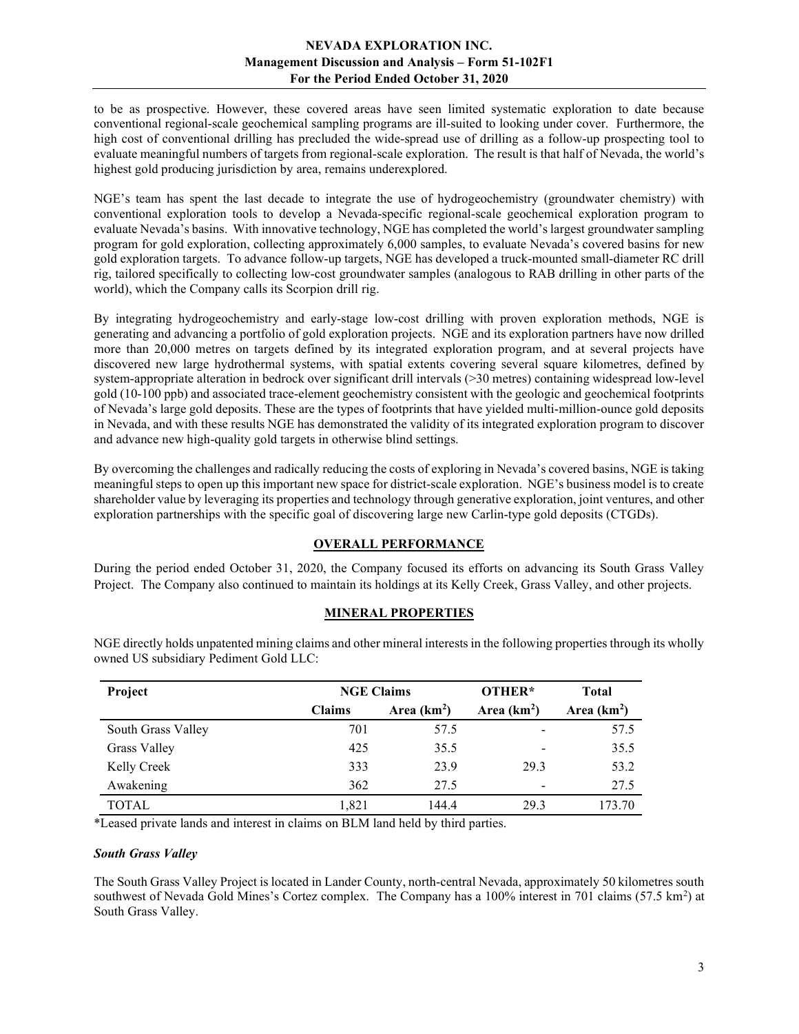to be as prospective. However, these covered areas have seen limited systematic exploration to date because conventional regional-scale geochemical sampling programs are ill-suited to looking under cover. Furthermore, the high cost of conventional drilling has precluded the wide-spread use of drilling as a follow-up prospecting tool to evaluate meaningful numbers of targets from regional-scale exploration. The result is that half of Nevada, the world's highest gold producing jurisdiction by area, remains underexplored.

NGE's team has spent the last decade to integrate the use of hydrogeochemistry (groundwater chemistry) with conventional exploration tools to develop a Nevada-specific regional-scale geochemical exploration program to evaluate Nevada's basins. With innovative technology, NGE has completed the world's largest groundwater sampling program for gold exploration, collecting approximately 6,000 samples, to evaluate Nevada's covered basins for new gold exploration targets. To advance follow-up targets, NGE has developed a truck-mounted small-diameter RC drill rig, tailored specifically to collecting low-cost groundwater samples (analogous to RAB drilling in other parts of the world), which the Company calls its Scorpion drill rig.

By integrating hydrogeochemistry and early-stage low-cost drilling with proven exploration methods, NGE is generating and advancing a portfolio of gold exploration projects. NGE and its exploration partners have now drilled more than 20,000 metres on targets defined by its integrated exploration program, and at several projects have discovered new large hydrothermal systems, with spatial extents covering several square kilometres, defined by system-appropriate alteration in bedrock over significant drill intervals (>30 metres) containing widespread low-level gold (10-100 ppb) and associated trace-element geochemistry consistent with the geologic and geochemical footprints of Nevada's large gold deposits. These are the types of footprints that have yielded multi-million-ounce gold deposits in Nevada, and with these results NGE has demonstrated the validity of its integrated exploration program to discover and advance new high-quality gold targets in otherwise blind settings.

By overcoming the challenges and radically reducing the costs of exploring in Nevada's covered basins, NGE is taking meaningful steps to open up this important new space for district-scale exploration. NGE's business model is to create shareholder value by leveraging its properties and technology through generative exploration, joint ventures, and other exploration partnerships with the specific goal of discovering large new Carlin-type gold deposits (CTGDs).

## OVERALL PERFORMANCE

During the period ended October 31, 2020, the Company focused its efforts on advancing its South Grass Valley Project. The Company also continued to maintain its holdings at its Kelly Creek, Grass Valley, and other projects.

## MINERAL PROPERTIES

| Project            | <b>NGE Claims</b> |              | OTHER*                   | <b>Total</b> |
|--------------------|-------------------|--------------|--------------------------|--------------|
|                    | <b>Claims</b>     | Area $(km2)$ | Area $(km2)$             | Area $(km2)$ |
| South Grass Valley | 701               | 57.5         | $\overline{\phantom{a}}$ | 57.5         |
| Grass Valley       | 425               | 35.5         | $\overline{\phantom{a}}$ | 35.5         |
| Kelly Creek        | 333               | 23.9         | 29.3                     | 53.2         |
| Awakening          | 362               | 27.5         | $\overline{\phantom{a}}$ | 27.5         |
| <b>TOTAL</b>       | 1.821             | 144.4        | 29.3                     | 173.70       |

NGE directly holds unpatented mining claims and other mineral interests in the following properties through its wholly owned US subsidiary Pediment Gold LLC:

\*Leased private lands and interest in claims on BLM land held by third parties.

#### South Grass Valley

The South Grass Valley Project is located in Lander County, north-central Nevada, approximately 50 kilometres south southwest of Nevada Gold Mines's Cortez complex. The Company has a 100% interest in 701 claims (57.5 km<sup>2</sup>) at South Grass Valley.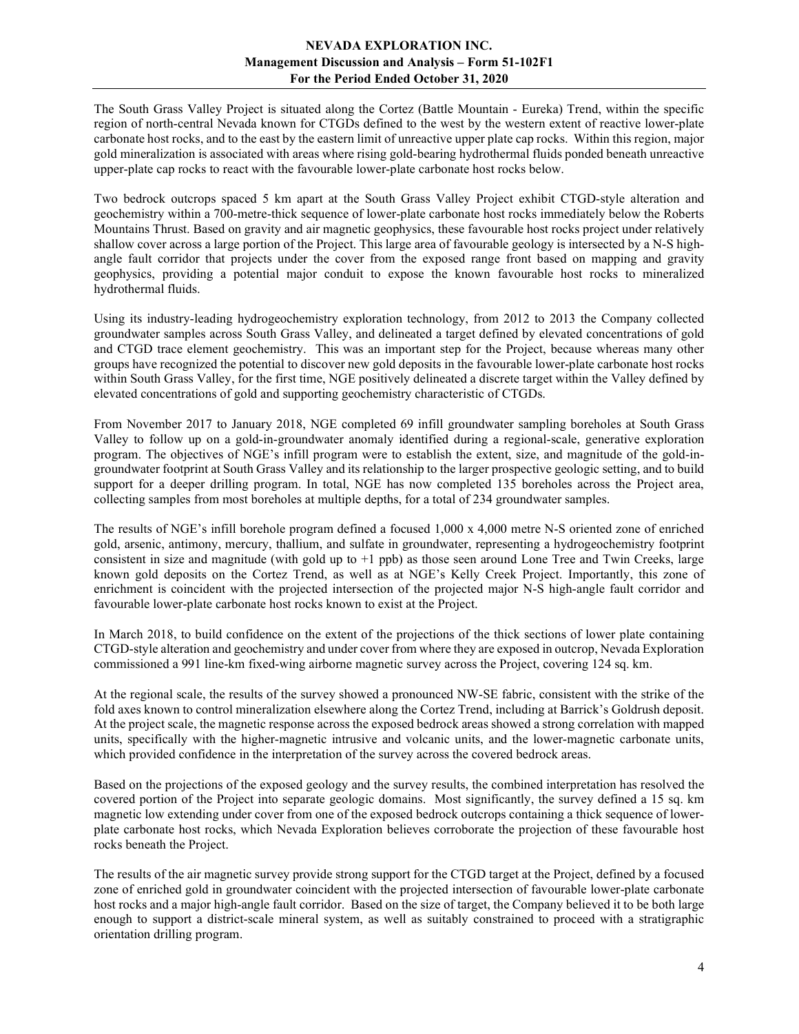The South Grass Valley Project is situated along the Cortez (Battle Mountain - Eureka) Trend, within the specific region of north-central Nevada known for CTGDs defined to the west by the western extent of reactive lower-plate carbonate host rocks, and to the east by the eastern limit of unreactive upper plate cap rocks. Within this region, major gold mineralization is associated with areas where rising gold-bearing hydrothermal fluids ponded beneath unreactive upper-plate cap rocks to react with the favourable lower-plate carbonate host rocks below.

Two bedrock outcrops spaced 5 km apart at the South Grass Valley Project exhibit CTGD-style alteration and geochemistry within a 700-metre-thick sequence of lower-plate carbonate host rocks immediately below the Roberts Mountains Thrust. Based on gravity and air magnetic geophysics, these favourable host rocks project under relatively shallow cover across a large portion of the Project. This large area of favourable geology is intersected by a N-S highangle fault corridor that projects under the cover from the exposed range front based on mapping and gravity geophysics, providing a potential major conduit to expose the known favourable host rocks to mineralized hydrothermal fluids.

Using its industry-leading hydrogeochemistry exploration technology, from 2012 to 2013 the Company collected groundwater samples across South Grass Valley, and delineated a target defined by elevated concentrations of gold and CTGD trace element geochemistry. This was an important step for the Project, because whereas many other groups have recognized the potential to discover new gold deposits in the favourable lower-plate carbonate host rocks within South Grass Valley, for the first time, NGE positively delineated a discrete target within the Valley defined by elevated concentrations of gold and supporting geochemistry characteristic of CTGDs.

From November 2017 to January 2018, NGE completed 69 infill groundwater sampling boreholes at South Grass Valley to follow up on a gold-in-groundwater anomaly identified during a regional-scale, generative exploration program. The objectives of NGE's infill program were to establish the extent, size, and magnitude of the gold-ingroundwater footprint at South Grass Valley and its relationship to the larger prospective geologic setting, and to build support for a deeper drilling program. In total, NGE has now completed 135 boreholes across the Project area, collecting samples from most boreholes at multiple depths, for a total of 234 groundwater samples.

The results of NGE's infill borehole program defined a focused 1,000 x 4,000 metre N-S oriented zone of enriched gold, arsenic, antimony, mercury, thallium, and sulfate in groundwater, representing a hydrogeochemistry footprint consistent in size and magnitude (with gold up to +1 ppb) as those seen around Lone Tree and Twin Creeks, large known gold deposits on the Cortez Trend, as well as at NGE's Kelly Creek Project. Importantly, this zone of enrichment is coincident with the projected intersection of the projected major N-S high-angle fault corridor and favourable lower-plate carbonate host rocks known to exist at the Project.

In March 2018, to build confidence on the extent of the projections of the thick sections of lower plate containing CTGD-style alteration and geochemistry and under cover from where they are exposed in outcrop, Nevada Exploration commissioned a 991 line-km fixed-wing airborne magnetic survey across the Project, covering 124 sq. km.

At the regional scale, the results of the survey showed a pronounced NW-SE fabric, consistent with the strike of the fold axes known to control mineralization elsewhere along the Cortez Trend, including at Barrick's Goldrush deposit. At the project scale, the magnetic response across the exposed bedrock areas showed a strong correlation with mapped units, specifically with the higher-magnetic intrusive and volcanic units, and the lower-magnetic carbonate units, which provided confidence in the interpretation of the survey across the covered bedrock areas.

Based on the projections of the exposed geology and the survey results, the combined interpretation has resolved the covered portion of the Project into separate geologic domains. Most significantly, the survey defined a 15 sq. km magnetic low extending under cover from one of the exposed bedrock outcrops containing a thick sequence of lowerplate carbonate host rocks, which Nevada Exploration believes corroborate the projection of these favourable host rocks beneath the Project.

The results of the air magnetic survey provide strong support for the CTGD target at the Project, defined by a focused zone of enriched gold in groundwater coincident with the projected intersection of favourable lower-plate carbonate host rocks and a major high-angle fault corridor. Based on the size of target, the Company believed it to be both large enough to support a district-scale mineral system, as well as suitably constrained to proceed with a stratigraphic orientation drilling program.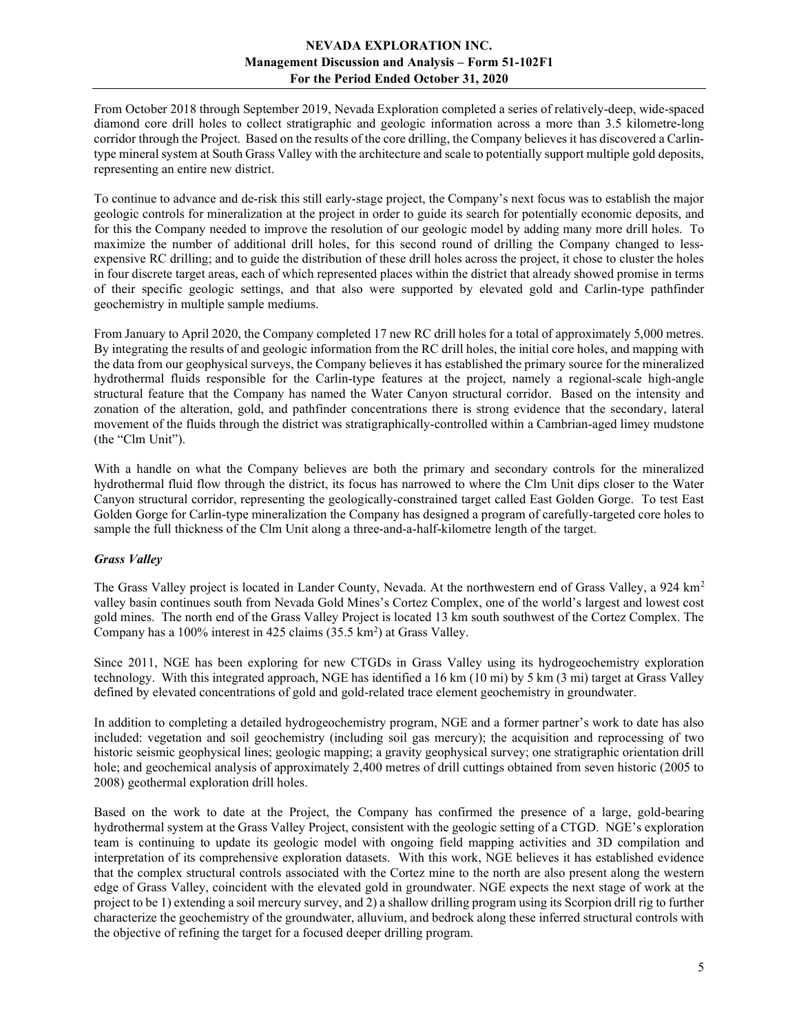From October 2018 through September 2019, Nevada Exploration completed a series of relatively-deep, wide-spaced diamond core drill holes to collect stratigraphic and geologic information across a more than 3.5 kilometre-long corridor through the Project. Based on the results of the core drilling, the Company believes it has discovered a Carlintype mineral system at South Grass Valley with the architecture and scale to potentially support multiple gold deposits, representing an entire new district.

To continue to advance and de-risk this still early-stage project, the Company's next focus was to establish the major geologic controls for mineralization at the project in order to guide its search for potentially economic deposits, and for this the Company needed to improve the resolution of our geologic model by adding many more drill holes. To maximize the number of additional drill holes, for this second round of drilling the Company changed to lessexpensive RC drilling; and to guide the distribution of these drill holes across the project, it chose to cluster the holes in four discrete target areas, each of which represented places within the district that already showed promise in terms of their specific geologic settings, and that also were supported by elevated gold and Carlin-type pathfinder geochemistry in multiple sample mediums.

From January to April 2020, the Company completed 17 new RC drill holes for a total of approximately 5,000 metres. By integrating the results of and geologic information from the RC drill holes, the initial core holes, and mapping with the data from our geophysical surveys, the Company believes it has established the primary source for the mineralized hydrothermal fluids responsible for the Carlin-type features at the project, namely a regional-scale high-angle structural feature that the Company has named the Water Canyon structural corridor. Based on the intensity and zonation of the alteration, gold, and pathfinder concentrations there is strong evidence that the secondary, lateral movement of the fluids through the district was stratigraphically-controlled within a Cambrian-aged limey mudstone (the "Clm Unit").

With a handle on what the Company believes are both the primary and secondary controls for the mineralized hydrothermal fluid flow through the district, its focus has narrowed to where the Clm Unit dips closer to the Water Canyon structural corridor, representing the geologically-constrained target called East Golden Gorge. To test East Golden Gorge for Carlin-type mineralization the Company has designed a program of carefully-targeted core holes to sample the full thickness of the Clm Unit along a three-and-a-half-kilometre length of the target.

## Grass Valley

The Grass Valley project is located in Lander County, Nevada. At the northwestern end of Grass Valley, a 924 km<sup>2</sup> valley basin continues south from Nevada Gold Mines's Cortez Complex, one of the world's largest and lowest cost gold mines. The north end of the Grass Valley Project is located 13 km south southwest of the Cortez Complex. The Company has a  $100\%$  interest in 425 claims (35.5 km<sup>2</sup>) at Grass Valley.

Since 2011, NGE has been exploring for new CTGDs in Grass Valley using its hydrogeochemistry exploration technology. With this integrated approach, NGE has identified a 16 km (10 mi) by 5 km (3 mi) target at Grass Valley defined by elevated concentrations of gold and gold-related trace element geochemistry in groundwater.

In addition to completing a detailed hydrogeochemistry program, NGE and a former partner's work to date has also included: vegetation and soil geochemistry (including soil gas mercury); the acquisition and reprocessing of two historic seismic geophysical lines; geologic mapping; a gravity geophysical survey; one stratigraphic orientation drill hole; and geochemical analysis of approximately 2,400 metres of drill cuttings obtained from seven historic (2005 to 2008) geothermal exploration drill holes.

Based on the work to date at the Project, the Company has confirmed the presence of a large, gold-bearing hydrothermal system at the Grass Valley Project, consistent with the geologic setting of a CTGD. NGE's exploration team is continuing to update its geologic model with ongoing field mapping activities and 3D compilation and interpretation of its comprehensive exploration datasets. With this work, NGE believes it has established evidence that the complex structural controls associated with the Cortez mine to the north are also present along the western edge of Grass Valley, coincident with the elevated gold in groundwater. NGE expects the next stage of work at the project to be 1) extending a soil mercury survey, and 2) a shallow drilling program using its Scorpion drill rig to further characterize the geochemistry of the groundwater, alluvium, and bedrock along these inferred structural controls with the objective of refining the target for a focused deeper drilling program.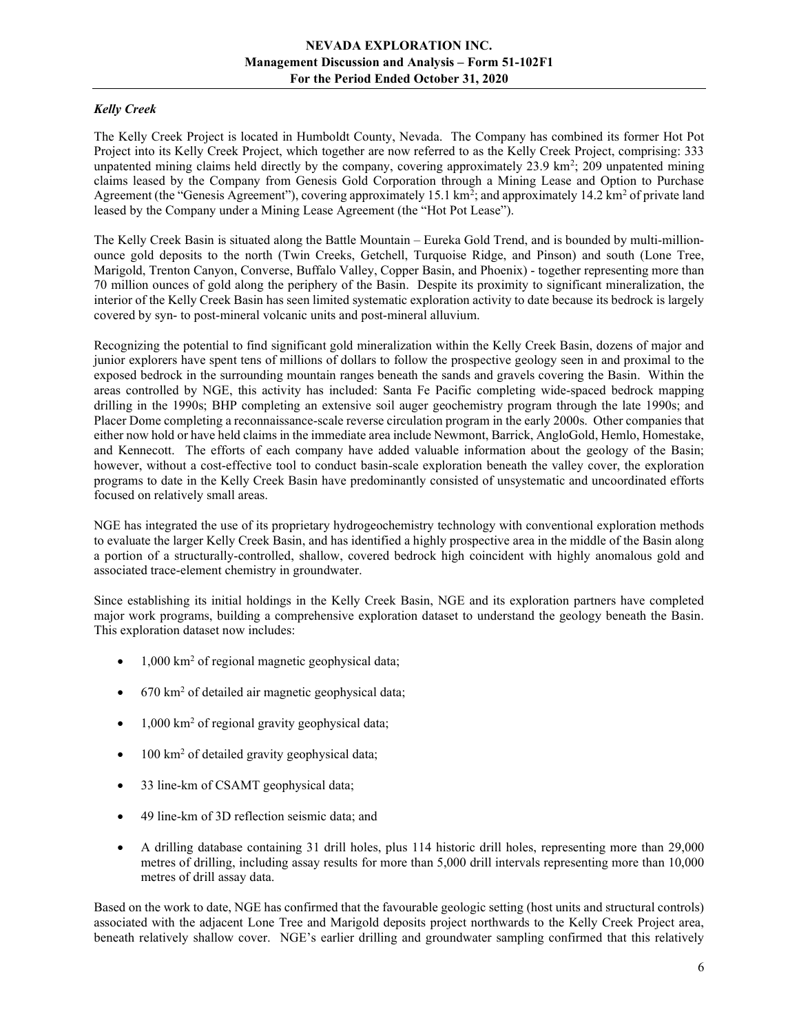# Kelly Creek

The Kelly Creek Project is located in Humboldt County, Nevada. The Company has combined its former Hot Pot Project into its Kelly Creek Project, which together are now referred to as the Kelly Creek Project, comprising: 333 unpatented mining claims held directly by the company, covering approximately 23.9 km<sup>2</sup>; 209 unpatented mining claims leased by the Company from Genesis Gold Corporation through a Mining Lease and Option to Purchase Agreement (the "Genesis Agreement"), covering approximately 15.1 km<sup>2</sup>; and approximately 14.2 km<sup>2</sup> of private land leased by the Company under a Mining Lease Agreement (the "Hot Pot Lease").

The Kelly Creek Basin is situated along the Battle Mountain – Eureka Gold Trend, and is bounded by multi-millionounce gold deposits to the north (Twin Creeks, Getchell, Turquoise Ridge, and Pinson) and south (Lone Tree, Marigold, Trenton Canyon, Converse, Buffalo Valley, Copper Basin, and Phoenix) - together representing more than 70 million ounces of gold along the periphery of the Basin. Despite its proximity to significant mineralization, the interior of the Kelly Creek Basin has seen limited systematic exploration activity to date because its bedrock is largely covered by syn- to post-mineral volcanic units and post-mineral alluvium.

Recognizing the potential to find significant gold mineralization within the Kelly Creek Basin, dozens of major and junior explorers have spent tens of millions of dollars to follow the prospective geology seen in and proximal to the exposed bedrock in the surrounding mountain ranges beneath the sands and gravels covering the Basin. Within the areas controlled by NGE, this activity has included: Santa Fe Pacific completing wide-spaced bedrock mapping drilling in the 1990s; BHP completing an extensive soil auger geochemistry program through the late 1990s; and Placer Dome completing a reconnaissance-scale reverse circulation program in the early 2000s. Other companies that either now hold or have held claims in the immediate area include Newmont, Barrick, AngloGold, Hemlo, Homestake, and Kennecott. The efforts of each company have added valuable information about the geology of the Basin; however, without a cost-effective tool to conduct basin-scale exploration beneath the valley cover, the exploration programs to date in the Kelly Creek Basin have predominantly consisted of unsystematic and uncoordinated efforts focused on relatively small areas.

NGE has integrated the use of its proprietary hydrogeochemistry technology with conventional exploration methods to evaluate the larger Kelly Creek Basin, and has identified a highly prospective area in the middle of the Basin along a portion of a structurally-controlled, shallow, covered bedrock high coincident with highly anomalous gold and associated trace-element chemistry in groundwater.

Since establishing its initial holdings in the Kelly Creek Basin, NGE and its exploration partners have completed major work programs, building a comprehensive exploration dataset to understand the geology beneath the Basin. This exploration dataset now includes:

- 1,000 km<sup>2</sup> of regional magnetic geophysical data;
- 670 km<sup>2</sup> of detailed air magnetic geophysical data;
- 1,000 km<sup>2</sup> of regional gravity geophysical data;
- $\bullet$  100 km<sup>2</sup> of detailed gravity geophysical data;
- 33 line-km of CSAMT geophysical data;
- 49 line-km of 3D reflection seismic data; and
- A drilling database containing 31 drill holes, plus 114 historic drill holes, representing more than 29,000 metres of drilling, including assay results for more than 5,000 drill intervals representing more than 10,000 metres of drill assay data.

Based on the work to date, NGE has confirmed that the favourable geologic setting (host units and structural controls) associated with the adjacent Lone Tree and Marigold deposits project northwards to the Kelly Creek Project area, beneath relatively shallow cover. NGE's earlier drilling and groundwater sampling confirmed that this relatively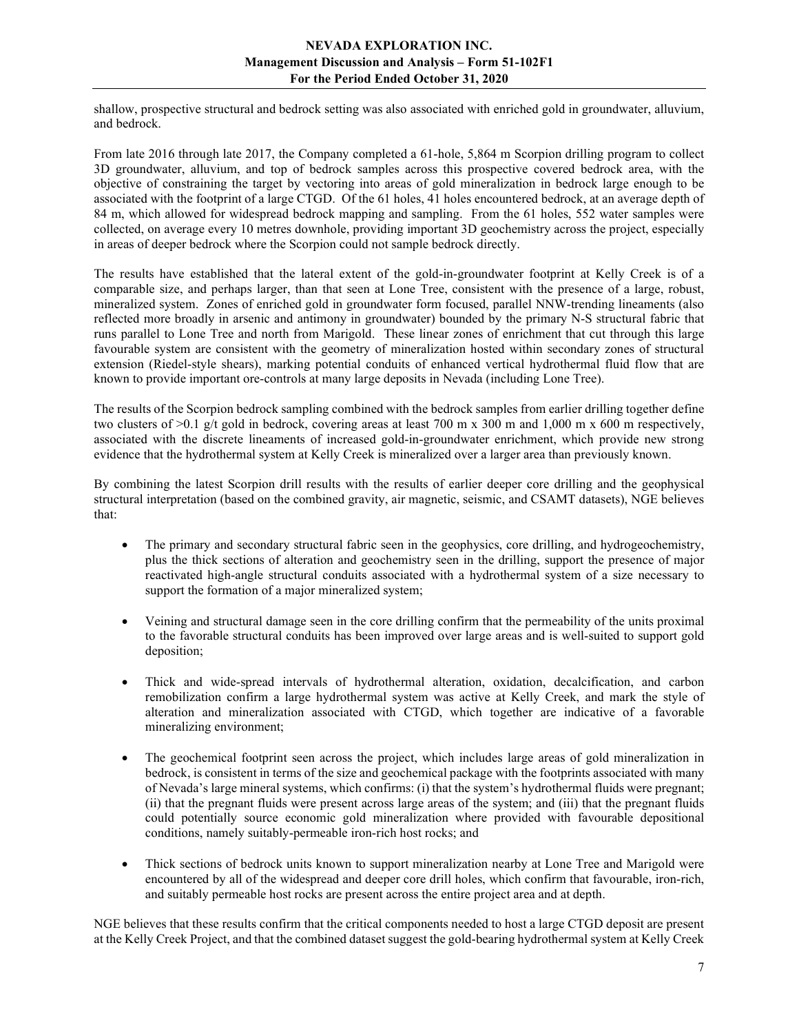shallow, prospective structural and bedrock setting was also associated with enriched gold in groundwater, alluvium, and bedrock.

From late 2016 through late 2017, the Company completed a 61-hole, 5,864 m Scorpion drilling program to collect 3D groundwater, alluvium, and top of bedrock samples across this prospective covered bedrock area, with the objective of constraining the target by vectoring into areas of gold mineralization in bedrock large enough to be associated with the footprint of a large CTGD. Of the 61 holes, 41 holes encountered bedrock, at an average depth of 84 m, which allowed for widespread bedrock mapping and sampling. From the 61 holes, 552 water samples were collected, on average every 10 metres downhole, providing important 3D geochemistry across the project, especially in areas of deeper bedrock where the Scorpion could not sample bedrock directly.

The results have established that the lateral extent of the gold-in-groundwater footprint at Kelly Creek is of a comparable size, and perhaps larger, than that seen at Lone Tree, consistent with the presence of a large, robust, mineralized system. Zones of enriched gold in groundwater form focused, parallel NNW-trending lineaments (also reflected more broadly in arsenic and antimony in groundwater) bounded by the primary N-S structural fabric that runs parallel to Lone Tree and north from Marigold. These linear zones of enrichment that cut through this large favourable system are consistent with the geometry of mineralization hosted within secondary zones of structural extension (Riedel-style shears), marking potential conduits of enhanced vertical hydrothermal fluid flow that are known to provide important ore-controls at many large deposits in Nevada (including Lone Tree).

The results of the Scorpion bedrock sampling combined with the bedrock samples from earlier drilling together define two clusters of  $>0.1$  g/t gold in bedrock, covering areas at least 700 m x 300 m and 1,000 m x 600 m respectively, associated with the discrete lineaments of increased gold-in-groundwater enrichment, which provide new strong evidence that the hydrothermal system at Kelly Creek is mineralized over a larger area than previously known.

By combining the latest Scorpion drill results with the results of earlier deeper core drilling and the geophysical structural interpretation (based on the combined gravity, air magnetic, seismic, and CSAMT datasets), NGE believes that:

- The primary and secondary structural fabric seen in the geophysics, core drilling, and hydrogeochemistry, plus the thick sections of alteration and geochemistry seen in the drilling, support the presence of major reactivated high-angle structural conduits associated with a hydrothermal system of a size necessary to support the formation of a major mineralized system;
- Veining and structural damage seen in the core drilling confirm that the permeability of the units proximal to the favorable structural conduits has been improved over large areas and is well-suited to support gold deposition;
- Thick and wide-spread intervals of hydrothermal alteration, oxidation, decalcification, and carbon remobilization confirm a large hydrothermal system was active at Kelly Creek, and mark the style of alteration and mineralization associated with CTGD, which together are indicative of a favorable mineralizing environment;
- The geochemical footprint seen across the project, which includes large areas of gold mineralization in bedrock, is consistent in terms of the size and geochemical package with the footprints associated with many of Nevada's large mineral systems, which confirms: (i) that the system's hydrothermal fluids were pregnant; (ii) that the pregnant fluids were present across large areas of the system; and (iii) that the pregnant fluids could potentially source economic gold mineralization where provided with favourable depositional conditions, namely suitably-permeable iron-rich host rocks; and
- Thick sections of bedrock units known to support mineralization nearby at Lone Tree and Marigold were encountered by all of the widespread and deeper core drill holes, which confirm that favourable, iron-rich, and suitably permeable host rocks are present across the entire project area and at depth.

NGE believes that these results confirm that the critical components needed to host a large CTGD deposit are present at the Kelly Creek Project, and that the combined dataset suggest the gold-bearing hydrothermal system at Kelly Creek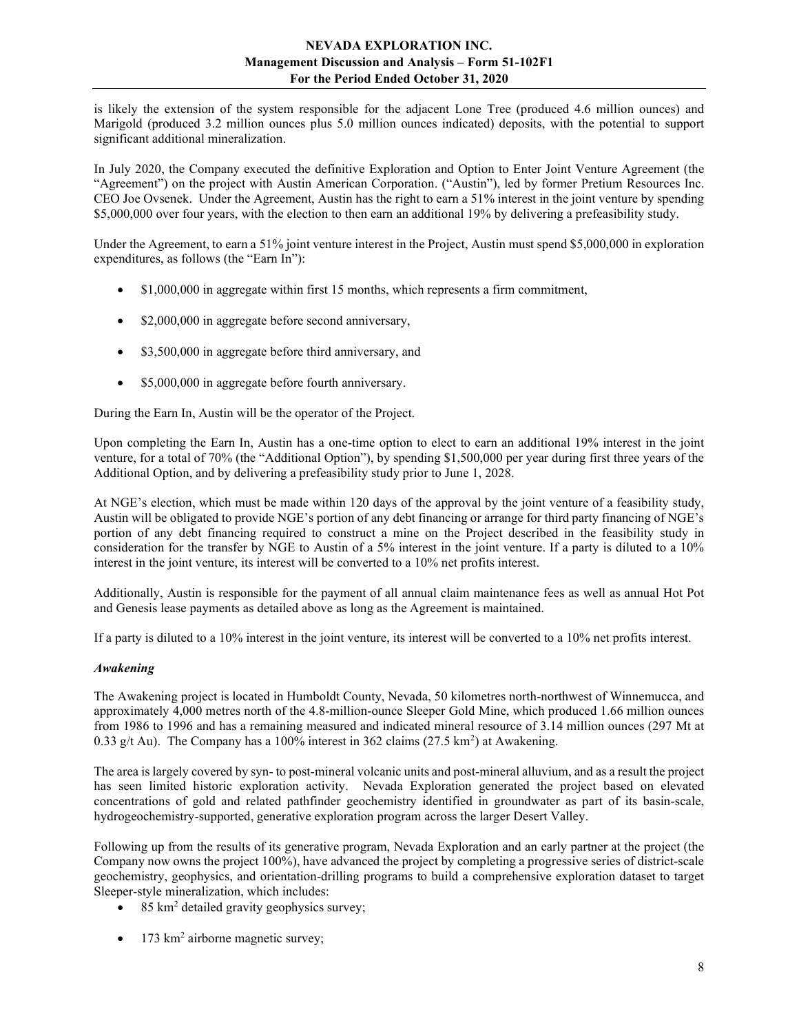is likely the extension of the system responsible for the adjacent Lone Tree (produced 4.6 million ounces) and Marigold (produced 3.2 million ounces plus 5.0 million ounces indicated) deposits, with the potential to support significant additional mineralization.

In July 2020, the Company executed the definitive Exploration and Option to Enter Joint Venture Agreement (the "Agreement") on the project with Austin American Corporation. ("Austin"), led by former Pretium Resources Inc. CEO Joe Ovsenek. Under the Agreement, Austin has the right to earn a 51% interest in the joint venture by spending \$5,000,000 over four years, with the election to then earn an additional 19% by delivering a prefeasibility study.

Under the Agreement, to earn a 51% joint venture interest in the Project, Austin must spend \$5,000,000 in exploration expenditures, as follows (the "Earn In"):

- \$1,000,000 in aggregate within first 15 months, which represents a firm commitment,
- \$2,000,000 in aggregate before second anniversary,
- \$3,500,000 in aggregate before third anniversary, and
- \$5,000,000 in aggregate before fourth anniversary.

During the Earn In, Austin will be the operator of the Project.

Upon completing the Earn In, Austin has a one-time option to elect to earn an additional 19% interest in the joint venture, for a total of 70% (the "Additional Option"), by spending \$1,500,000 per year during first three years of the Additional Option, and by delivering a prefeasibility study prior to June 1, 2028.

At NGE's election, which must be made within 120 days of the approval by the joint venture of a feasibility study, Austin will be obligated to provide NGE's portion of any debt financing or arrange for third party financing of NGE's portion of any debt financing required to construct a mine on the Project described in the feasibility study in consideration for the transfer by NGE to Austin of a 5% interest in the joint venture. If a party is diluted to a 10% interest in the joint venture, its interest will be converted to a 10% net profits interest.

Additionally, Austin is responsible for the payment of all annual claim maintenance fees as well as annual Hot Pot and Genesis lease payments as detailed above as long as the Agreement is maintained.

If a party is diluted to a 10% interest in the joint venture, its interest will be converted to a 10% net profits interest.

## Awakening

The Awakening project is located in Humboldt County, Nevada, 50 kilometres north-northwest of Winnemucca, and approximately 4,000 metres north of the 4.8-million-ounce Sleeper Gold Mine, which produced 1.66 million ounces from 1986 to 1996 and has a remaining measured and indicated mineral resource of 3.14 million ounces (297 Mt at 0.33 g/t Au). The Company has a 100% interest in 362 claims  $(27.5 \text{ km}^2)$  at Awakening.

The area is largely covered by syn- to post-mineral volcanic units and post-mineral alluvium, and as a result the project has seen limited historic exploration activity. Nevada Exploration generated the project based on elevated concentrations of gold and related pathfinder geochemistry identified in groundwater as part of its basin-scale, hydrogeochemistry-supported, generative exploration program across the larger Desert Valley.

Following up from the results of its generative program, Nevada Exploration and an early partner at the project (the Company now owns the project 100%), have advanced the project by completing a progressive series of district-scale geochemistry, geophysics, and orientation-drilling programs to build a comprehensive exploration dataset to target Sleeper-style mineralization, which includes:

- 85 km<sup>2</sup> detailed gravity geophysics survey;
- $\bullet$  173 km<sup>2</sup> airborne magnetic survey;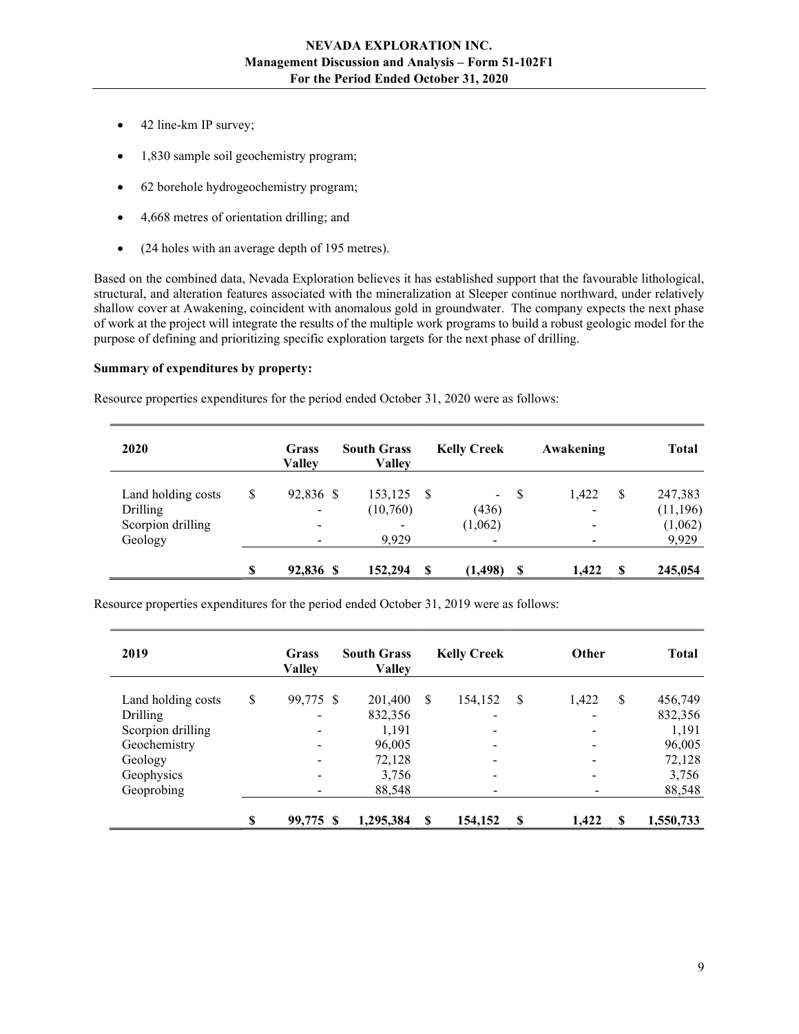- 42 line-km IP survey;
- 1,830 sample soil geochemistry program;
- 62 borehole hydrogeochemistry program;
- 4,668 metres of orientation drilling; and
- (24 holes with an average depth of 195 metres).

Based on the combined data, Nevada Exploration believes it has established support that the favourable lithological, structural, and alteration features associated with the mineralization at Sleeper continue northward, under relatively shallow cover at Awakening, coincident with anomalous gold in groundwater. The company expects the next phase of work at the project will integrate the results of the multiple work programs to build a robust geologic model for the purpose of defining and prioritizing specific exploration targets for the next phase of drilling.

#### Summary of expenditures by property:

Resource properties expenditures for the period ended October 31, 2020 were as follows:

| 2020               | Grass<br><b>Valley</b>   | <b>South Grass</b><br><b>Valley</b> |      | <b>Kelly Creek</b>       |    | Awakening                |    | <b>Total</b> |
|--------------------|--------------------------|-------------------------------------|------|--------------------------|----|--------------------------|----|--------------|
| Land holding costs | \$<br>92,836 \$          | 153,125                             | - \$ | $\sim$ .                 | -S | 1,422                    | \$ | 247,383      |
| Drilling           | $\overline{\phantom{a}}$ | (10,760)                            |      | (436)                    |    | $\overline{\phantom{a}}$ |    | (11,196)     |
| Scorpion drilling  | $\overline{\phantom{a}}$ |                                     |      | (1,062)                  |    |                          |    | (1,062)      |
| Geology            | $\overline{\phantom{a}}$ | 9,929                               |      | $\overline{\phantom{a}}$ |    |                          |    | 9,929        |
|                    | \$<br>92,836 \$          | 152,294                             | S    | (1, 498)                 | S  | 1,422                    | -S | 245,054      |

Resource properties expenditures for the period ended October 31, 2019 were as follows:

| 2019               | Grass<br><b>Valley</b>       | <b>South Grass</b><br><b>Valley</b> |               | <b>Kelly Creek</b>       |                        | Other       | <b>Total</b> |
|--------------------|------------------------------|-------------------------------------|---------------|--------------------------|------------------------|-------------|--------------|
| Land holding costs | \$<br>99,775 \$              | 201,400                             | <sup>\$</sup> | 154,152                  | S                      | 1,422<br>S  | 456,749      |
| Drilling           | -                            | 832,356                             |               | $\overline{\phantom{a}}$ |                        |             | 832,356      |
| Scorpion drilling  | $\overline{\phantom{a}}$     | 1,191                               |               | $\overline{\phantom{a}}$ |                        | -           | 1,191        |
| Geochemistry       | $\qquad \qquad \blacksquare$ | 96,005                              |               | $\overline{\phantom{0}}$ |                        |             | 96,005       |
| Geology            | $\qquad \qquad \blacksquare$ | 72,128                              |               | $\overline{\phantom{a}}$ |                        |             | 72,128       |
| Geophysics         | $\qquad \qquad \blacksquare$ | 3,756                               |               | $\overline{\phantom{a}}$ |                        | -           | 3,756        |
| Geoprobing         | -                            | 88,548                              |               | $\overline{\phantom{a}}$ |                        |             | 88,548       |
|                    | \$<br>99,775 \$              | 1,295,384                           | \$            | 154,152                  | $\mathbf{\mathcal{S}}$ | 1,422<br>-S | 1,550,733    |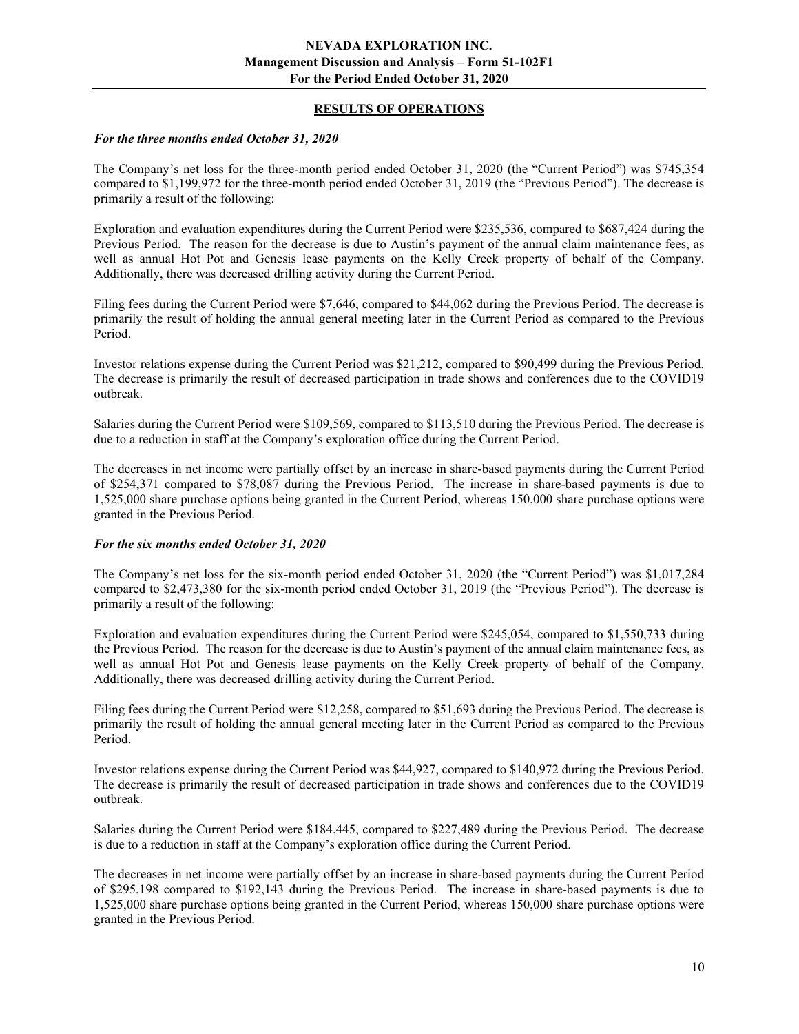## RESULTS OF OPERATIONS

#### For the three months ended October 31, 2020

The Company's net loss for the three-month period ended October 31, 2020 (the "Current Period") was \$745,354 compared to \$1,199,972 for the three-month period ended October 31, 2019 (the "Previous Period"). The decrease is primarily a result of the following:

Exploration and evaluation expenditures during the Current Period were \$235,536, compared to \$687,424 during the Previous Period. The reason for the decrease is due to Austin's payment of the annual claim maintenance fees, as well as annual Hot Pot and Genesis lease payments on the Kelly Creek property of behalf of the Company. Additionally, there was decreased drilling activity during the Current Period.

Filing fees during the Current Period were \$7,646, compared to \$44,062 during the Previous Period. The decrease is primarily the result of holding the annual general meeting later in the Current Period as compared to the Previous Period.

Investor relations expense during the Current Period was \$21,212, compared to \$90,499 during the Previous Period. The decrease is primarily the result of decreased participation in trade shows and conferences due to the COVID19 outbreak.

Salaries during the Current Period were \$109,569, compared to \$113,510 during the Previous Period. The decrease is due to a reduction in staff at the Company's exploration office during the Current Period.

The decreases in net income were partially offset by an increase in share-based payments during the Current Period of \$254,371 compared to \$78,087 during the Previous Period. The increase in share-based payments is due to 1,525,000 share purchase options being granted in the Current Period, whereas 150,000 share purchase options were granted in the Previous Period.

#### For the six months ended October 31, 2020

The Company's net loss for the six-month period ended October 31, 2020 (the "Current Period") was \$1,017,284 compared to \$2,473,380 for the six-month period ended October 31, 2019 (the "Previous Period"). The decrease is primarily a result of the following:

Exploration and evaluation expenditures during the Current Period were \$245,054, compared to \$1,550,733 during the Previous Period. The reason for the decrease is due to Austin's payment of the annual claim maintenance fees, as well as annual Hot Pot and Genesis lease payments on the Kelly Creek property of behalf of the Company. Additionally, there was decreased drilling activity during the Current Period.

Filing fees during the Current Period were \$12,258, compared to \$51,693 during the Previous Period. The decrease is primarily the result of holding the annual general meeting later in the Current Period as compared to the Previous Period.

Investor relations expense during the Current Period was \$44,927, compared to \$140,972 during the Previous Period. The decrease is primarily the result of decreased participation in trade shows and conferences due to the COVID19 outbreak.

Salaries during the Current Period were \$184,445, compared to \$227,489 during the Previous Period. The decrease is due to a reduction in staff at the Company's exploration office during the Current Period.

The decreases in net income were partially offset by an increase in share-based payments during the Current Period of \$295,198 compared to \$192,143 during the Previous Period. The increase in share-based payments is due to 1,525,000 share purchase options being granted in the Current Period, whereas 150,000 share purchase options were granted in the Previous Period.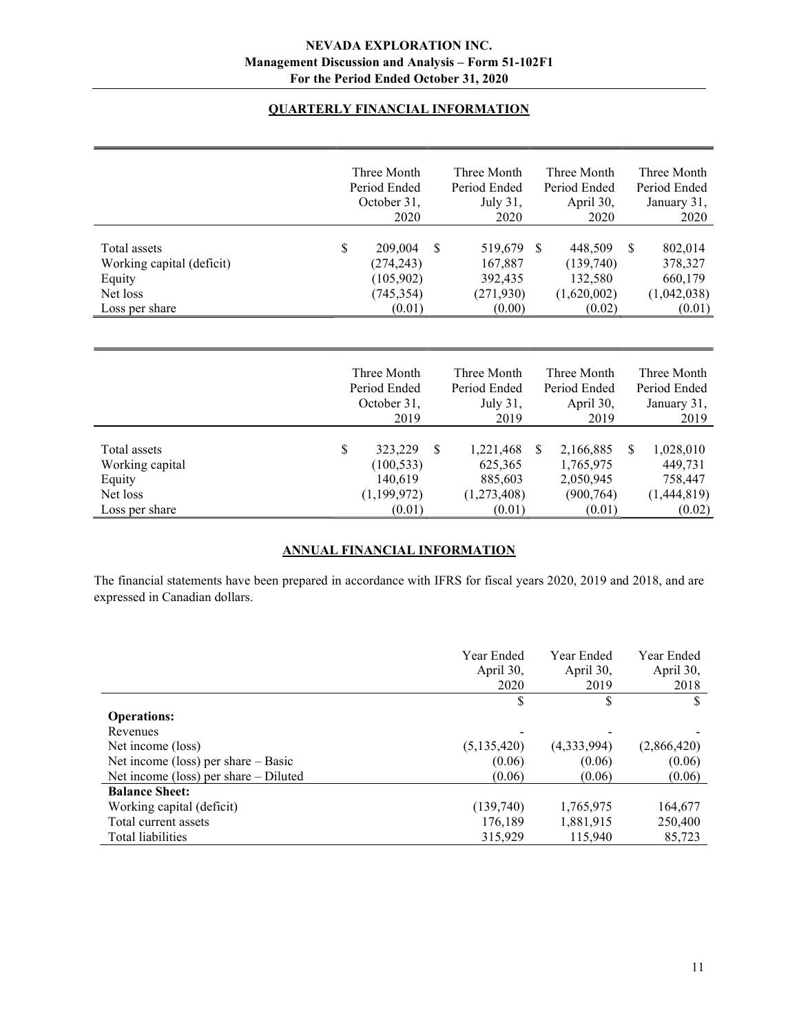# QUARTERLY FINANCIAL INFORMATION

|                                                                                   | Three Month<br>Period Ended<br>October 31,<br>2020                |               | Three Month<br>Period Ended<br>July 31,<br>2020       |               | Three Month<br>Period Ended<br>April 30,<br>2020         |               | Three Month<br>Period Ended<br>January 31,<br>2020     |
|-----------------------------------------------------------------------------------|-------------------------------------------------------------------|---------------|-------------------------------------------------------|---------------|----------------------------------------------------------|---------------|--------------------------------------------------------|
| Total assets<br>Working capital (deficit)<br>Equity<br>Net loss<br>Loss per share | \$<br>209,004<br>(274, 243)<br>(105, 902)<br>(745, 354)<br>(0.01) | <sup>\$</sup> | 519,679<br>167,887<br>392,435<br>(271, 930)<br>(0.00) | <sup>S</sup>  | 448,509<br>(139,740)<br>132,580<br>(1,620,002)<br>(0.02) | S.            | 802,014<br>378,327<br>660,179<br>(1,042,038)<br>(0.01) |
|                                                                                   | Three Month<br>Period Ended<br>October 31,<br>2019                |               | Three Month<br>Period Ended<br>July 31,<br>2019       |               | Three Month<br>Period Ended<br>April 30,<br>2019         |               | Three Month<br>Period Ended<br>January 31,<br>2019     |
| Total assets<br>Working capital                                                   | \$<br>323,229<br>(100, 533)                                       | S             | 1,221,468<br>625,365                                  | <sup>\$</sup> | 2,166,885<br>1,765,975                                   | <sup>\$</sup> | 1,028,010<br>449,731                                   |

# ANNUAL FINANCIAL INFORMATION

Equity 140,619 885,603 2,050,945 758,447 Net loss (1,199,972) (1,273,408) (900,764) (1,444,819) Loss per share  $(0.01)$   $(0.01)$   $(0.01)$   $(0.02)$ 

The financial statements have been prepared in accordance with IFRS for fiscal years 2020, 2019 and 2018, and are expressed in Canadian dollars.

|                                         | Year Ended<br>April 30,<br>2020 | Year Ended<br>April 30,<br>2019 | Year Ended<br>April 30,<br>2018 |
|-----------------------------------------|---------------------------------|---------------------------------|---------------------------------|
|                                         | \$                              | S                               |                                 |
| <b>Operations:</b>                      |                                 |                                 |                                 |
| Revenues                                |                                 |                                 |                                 |
| Net income (loss)                       | (5,135,420)                     | (4,333,994)                     | (2,866,420)                     |
| Net income (loss) per share $-$ Basic   | (0.06)                          | (0.06)                          | (0.06)                          |
| Net income (loss) per share $-$ Diluted | (0.06)                          | (0.06)                          | (0.06)                          |
| <b>Balance Sheet:</b>                   |                                 |                                 |                                 |
| Working capital (deficit)               | (139,740)                       | 1,765,975                       | 164,677                         |
| Total current assets                    | 176,189                         | 1,881,915                       | 250,400                         |
| Total liabilities                       | 315,929                         | 115,940                         | 85,723                          |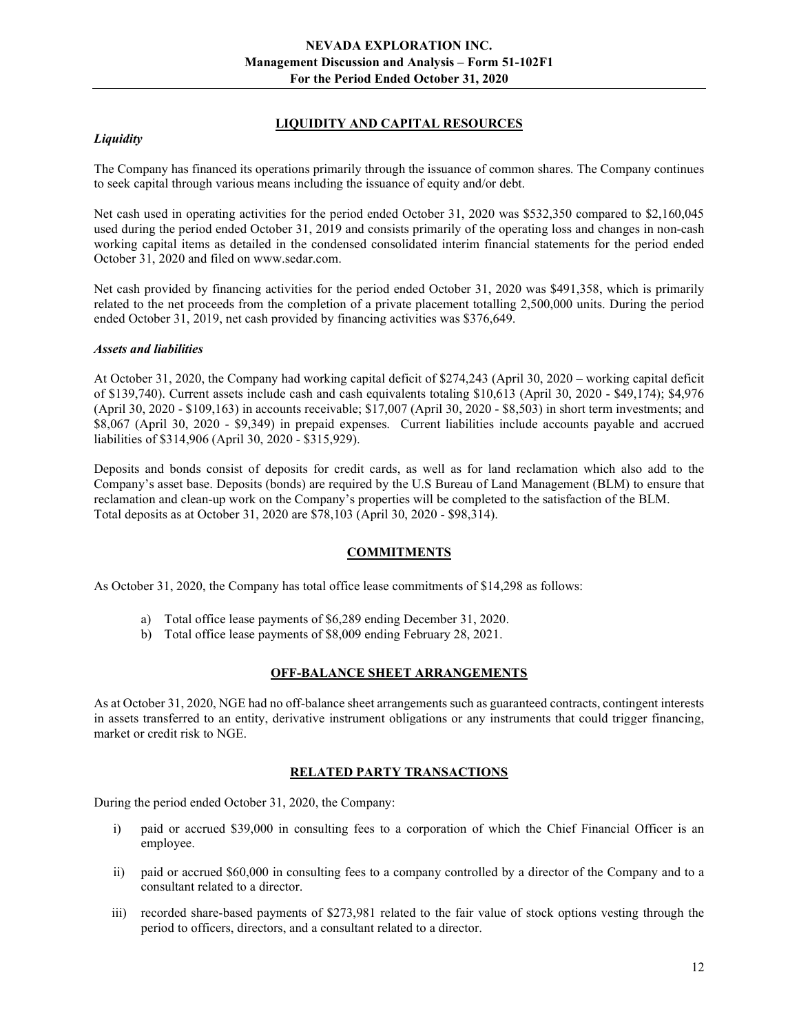# LIQUIDITY AND CAPITAL RESOURCES

# **Liquidity**

The Company has financed its operations primarily through the issuance of common shares. The Company continues to seek capital through various means including the issuance of equity and/or debt.

Net cash used in operating activities for the period ended October 31, 2020 was \$532,350 compared to \$2,160,045 used during the period ended October 31, 2019 and consists primarily of the operating loss and changes in non-cash working capital items as detailed in the condensed consolidated interim financial statements for the period ended October 31, 2020 and filed on www.sedar.com.

Net cash provided by financing activities for the period ended October 31, 2020 was \$491,358, which is primarily related to the net proceeds from the completion of a private placement totalling 2,500,000 units. During the period ended October 31, 2019, net cash provided by financing activities was \$376,649.

## Assets and liabilities

At October 31, 2020, the Company had working capital deficit of \$274,243 (April 30, 2020 – working capital deficit of \$139,740). Current assets include cash and cash equivalents totaling \$10,613 (April 30, 2020 - \$49,174); \$4,976 (April 30, 2020 - \$109,163) in accounts receivable; \$17,007 (April 30, 2020 - \$8,503) in short term investments; and \$8,067 (April 30, 2020 - \$9,349) in prepaid expenses. Current liabilities include accounts payable and accrued liabilities of \$314,906 (April 30, 2020 - \$315,929).

Deposits and bonds consist of deposits for credit cards, as well as for land reclamation which also add to the Company's asset base. Deposits (bonds) are required by the U.S Bureau of Land Management (BLM) to ensure that reclamation and clean-up work on the Company's properties will be completed to the satisfaction of the BLM. Total deposits as at October 31, 2020 are \$78,103 (April 30, 2020 - \$98,314).

## COMMITMENTS

As October 31, 2020, the Company has total office lease commitments of \$14,298 as follows:

- a) Total office lease payments of \$6,289 ending December 31, 2020.
- b) Total office lease payments of \$8,009 ending February 28, 2021.

## OFF-BALANCE SHEET ARRANGEMENTS

As at October 31, 2020, NGE had no off-balance sheet arrangements such as guaranteed contracts, contingent interests in assets transferred to an entity, derivative instrument obligations or any instruments that could trigger financing, market or credit risk to NGE.

## RELATED PARTY TRANSACTIONS

During the period ended October 31, 2020, the Company:

- i) paid or accrued \$39,000 in consulting fees to a corporation of which the Chief Financial Officer is an employee.
- ii) paid or accrued \$60,000 in consulting fees to a company controlled by a director of the Company and to a consultant related to a director.
- iii) recorded share-based payments of \$273,981 related to the fair value of stock options vesting through the period to officers, directors, and a consultant related to a director.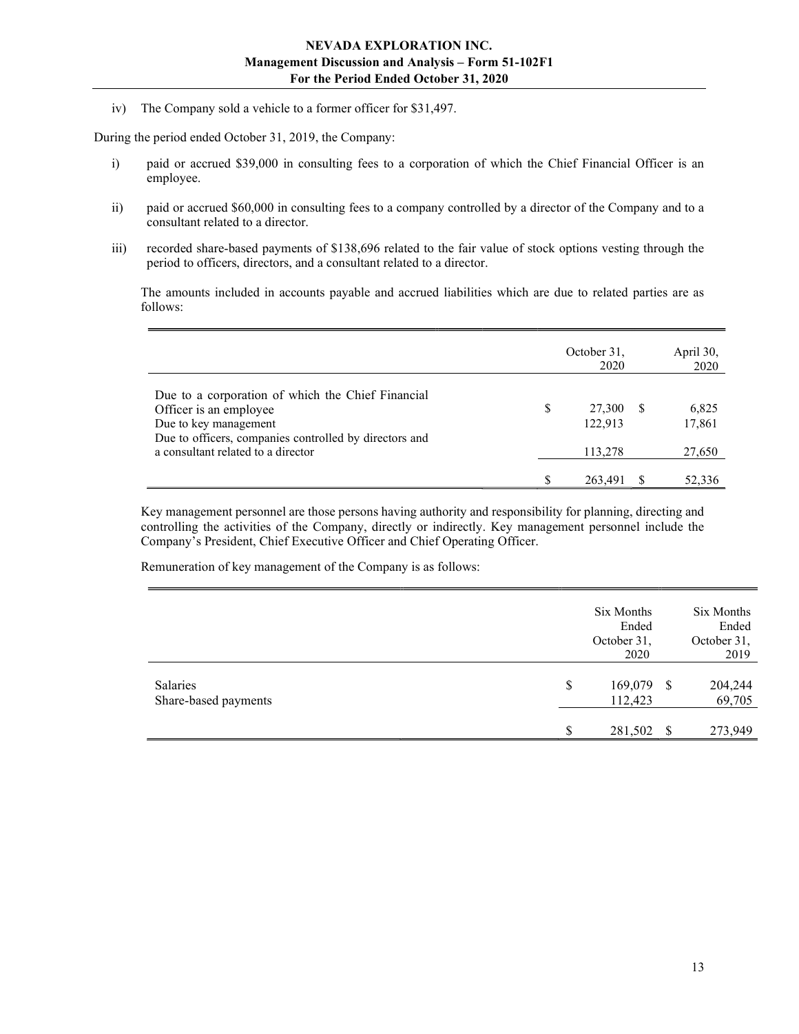iv) The Company sold a vehicle to a former officer for \$31,497.

During the period ended October 31, 2019, the Company:

- i) paid or accrued \$39,000 in consulting fees to a corporation of which the Chief Financial Officer is an employee.
- ii) paid or accrued \$60,000 in consulting fees to a company controlled by a director of the Company and to a consultant related to a director.
- iii) recorded share-based payments of \$138,696 related to the fair value of stock options vesting through the period to officers, directors, and a consultant related to a director.

The amounts included in accounts payable and accrued liabilities which are due to related parties are as follows:

|                                                                                                                                                                |   | October 31,<br>2020 |     | April 30,<br>2020 |
|----------------------------------------------------------------------------------------------------------------------------------------------------------------|---|---------------------|-----|-------------------|
| Due to a corporation of which the Chief Financial<br>Officer is an employee<br>Due to key management<br>Due to officers, companies controlled by directors and | S | 27,300<br>122,913   | - S | 6,825<br>17,861   |
| a consultant related to a director                                                                                                                             |   | 113,278             |     | 27,650            |
|                                                                                                                                                                |   | 263.491             |     | 52,336            |

Key management personnel are those persons having authority and responsibility for planning, directing and controlling the activities of the Company, directly or indirectly. Key management personnel include the Company's President, Chief Executive Officer and Chief Operating Officer.

Remuneration of key management of the Company is as follows:

|                                  | Six Months<br>Ended<br>October 31,<br>2020 |      | Six Months<br>Ended<br>October 31,<br>2019 |
|----------------------------------|--------------------------------------------|------|--------------------------------------------|
| Salaries<br>Share-based payments | \$<br>169,079<br>112,423                   | - \$ | 204,244<br>69,705                          |
|                                  | 281,502                                    | - \$ | 273,949                                    |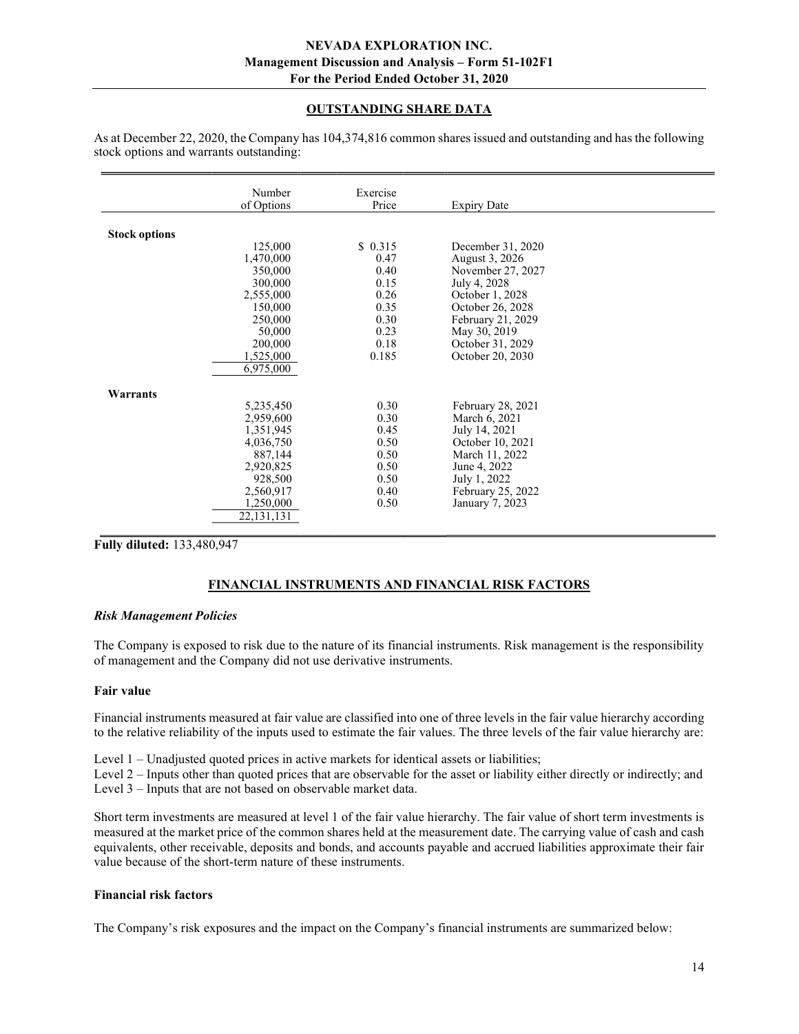# OUTSTANDING SHARE DATA

|                      | Number       | Exercise |                    |  |
|----------------------|--------------|----------|--------------------|--|
|                      | of Options   | Price    | <b>Expiry Date</b> |  |
| <b>Stock options</b> |              |          |                    |  |
|                      | 125,000      | \$0.315  | December 31, 2020  |  |
|                      | 1,470,000    | 0.47     | August 3, 2026     |  |
|                      | 350,000      | 0.40     | November 27, 2027  |  |
|                      | 300,000      | 0.15     | July 4, 2028       |  |
|                      | 2,555,000    | 0.26     | October 1, 2028    |  |
|                      | 150,000      | 0.35     | October 26, 2028   |  |
|                      | 250,000      | 0.30     | February 21, 2029  |  |
|                      | 50,000       | 0.23     | May 30, 2019       |  |
|                      | 200,000      | 0.18     | October 31, 2029   |  |
|                      | 1,525,000    | 0.185    | October 20, 2030   |  |
|                      | 6,975,000    |          |                    |  |
| Warrants             |              |          |                    |  |
|                      | 5,235,450    | 0.30     | February 28, 2021  |  |
|                      | 2,959,600    | 0.30     | March 6, 2021      |  |
|                      | 1,351,945    | 0.45     | July 14, 2021      |  |
|                      | 4,036,750    | 0.50     | October 10, 2021   |  |
|                      | 887,144      | 0.50     | March 11, 2022     |  |
|                      | 2,920,825    | 0.50     | June 4, 2022       |  |
|                      | 928,500      | 0.50     | July 1, 2022       |  |
|                      | 2,560,917    | 0.40     | February 25, 2022  |  |
|                      | 1,250,000    | 0.50     | January 7, 2023    |  |
|                      | 22, 131, 131 |          |                    |  |
|                      |              |          |                    |  |

As at December 22, 2020, the Company has 104,374,816 common shares issued and outstanding and has the following stock options and warrants outstanding:

Fully diluted: 133,480,947

# FINANCIAL INSTRUMENTS AND FINANCIAL RISK FACTORS

#### Risk Management Policies

The Company is exposed to risk due to the nature of its financial instruments. Risk management is the responsibility of management and the Company did not use derivative instruments.

#### Fair value

Financial instruments measured at fair value are classified into one of three levels in the fair value hierarchy according to the relative reliability of the inputs used to estimate the fair values. The three levels of the fair value hierarchy are:

Level 1 – Unadjusted quoted prices in active markets for identical assets or liabilities;

Level 2 – Inputs other than quoted prices that are observable for the asset or liability either directly or indirectly; and Level 3 – Inputs that are not based on observable market data.

Short term investments are measured at level 1 of the fair value hierarchy. The fair value of short term investments is measured at the market price of the common shares held at the measurement date. The carrying value of cash and cash equivalents, other receivable, deposits and bonds, and accounts payable and accrued liabilities approximate their fair value because of the short-term nature of these instruments.

## Financial risk factors

The Company's risk exposures and the impact on the Company's financial instruments are summarized below: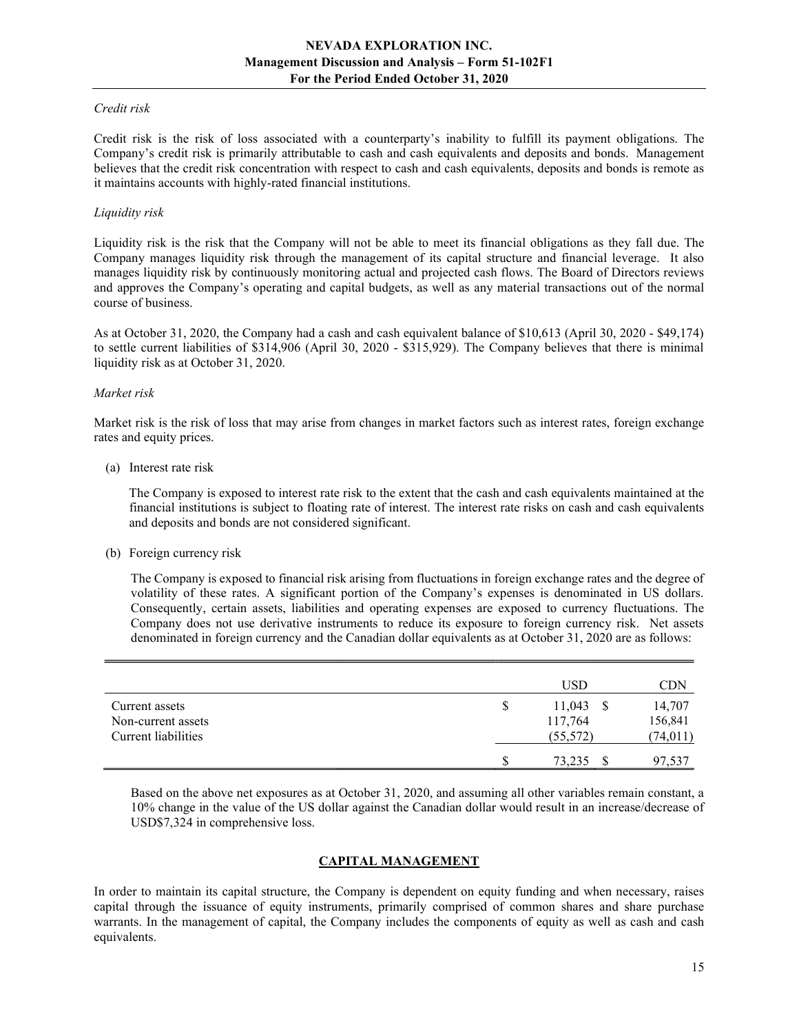# Credit risk

Credit risk is the risk of loss associated with a counterparty's inability to fulfill its payment obligations. The Company's credit risk is primarily attributable to cash and cash equivalents and deposits and bonds. Management believes that the credit risk concentration with respect to cash and cash equivalents, deposits and bonds is remote as it maintains accounts with highly-rated financial institutions.

#### Liquidity risk

Liquidity risk is the risk that the Company will not be able to meet its financial obligations as they fall due. The Company manages liquidity risk through the management of its capital structure and financial leverage. It also manages liquidity risk by continuously monitoring actual and projected cash flows. The Board of Directors reviews and approves the Company's operating and capital budgets, as well as any material transactions out of the normal course of business.

As at October 31, 2020, the Company had a cash and cash equivalent balance of \$10,613 (April 30, 2020 - \$49,174) to settle current liabilities of \$314,906 (April 30, 2020 - \$315,929). The Company believes that there is minimal liquidity risk as at October 31, 2020.

#### Market risk

Market risk is the risk of loss that may arise from changes in market factors such as interest rates, foreign exchange rates and equity prices.

(a) Interest rate risk

 The Company is exposed to interest rate risk to the extent that the cash and cash equivalents maintained at the financial institutions is subject to floating rate of interest. The interest rate risks on cash and cash equivalents and deposits and bonds are not considered significant.

(b) Foreign currency risk

The Company is exposed to financial risk arising from fluctuations in foreign exchange rates and the degree of volatility of these rates. A significant portion of the Company's expenses is denominated in US dollars. Consequently, certain assets, liabilities and operating expenses are exposed to currency fluctuations. The Company does not use derivative instruments to reduce its exposure to foreign currency risk. Net assets denominated in foreign currency and the Canadian dollar equivalents as at October 31, 2020 are as follows:

|                     |   | USD         | CDN       |
|---------------------|---|-------------|-----------|
| Current assets      | S | $11,043$ \$ | 14,707    |
| Non-current assets  |   | 117,764     | 156,841   |
| Current liabilities |   | (55, 572)   | (74, 011) |
|                     | S | 73,235      | 97,537    |

Based on the above net exposures as at October 31, 2020, and assuming all other variables remain constant, a 10% change in the value of the US dollar against the Canadian dollar would result in an increase/decrease of USD\$7,324 in comprehensive loss.

## CAPITAL MANAGEMENT

In order to maintain its capital structure, the Company is dependent on equity funding and when necessary, raises capital through the issuance of equity instruments, primarily comprised of common shares and share purchase warrants. In the management of capital, the Company includes the components of equity as well as cash and cash equivalents.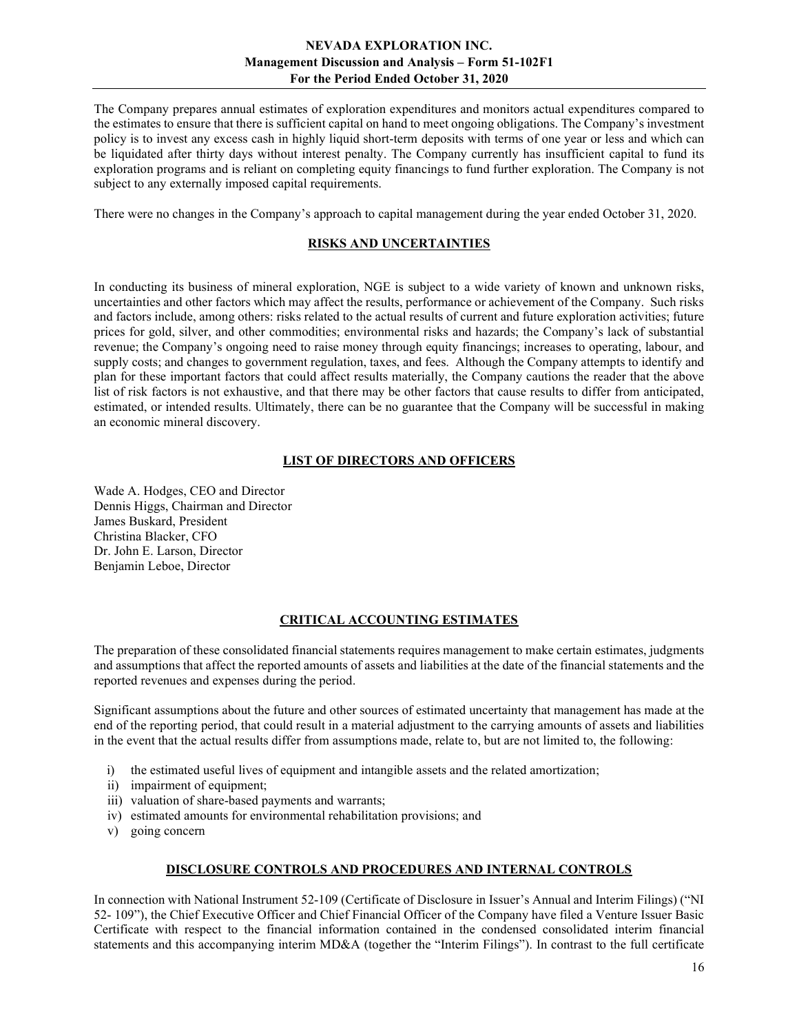The Company prepares annual estimates of exploration expenditures and monitors actual expenditures compared to the estimates to ensure that there is sufficient capital on hand to meet ongoing obligations. The Company's investment policy is to invest any excess cash in highly liquid short-term deposits with terms of one year or less and which can be liquidated after thirty days without interest penalty. The Company currently has insufficient capital to fund its exploration programs and is reliant on completing equity financings to fund further exploration. The Company is not subject to any externally imposed capital requirements.

There were no changes in the Company's approach to capital management during the year ended October 31, 2020.

#### RISKS AND UNCERTAINTIES

In conducting its business of mineral exploration, NGE is subject to a wide variety of known and unknown risks, uncertainties and other factors which may affect the results, performance or achievement of the Company. Such risks and factors include, among others: risks related to the actual results of current and future exploration activities; future prices for gold, silver, and other commodities; environmental risks and hazards; the Company's lack of substantial revenue; the Company's ongoing need to raise money through equity financings; increases to operating, labour, and supply costs; and changes to government regulation, taxes, and fees. Although the Company attempts to identify and plan for these important factors that could affect results materially, the Company cautions the reader that the above list of risk factors is not exhaustive, and that there may be other factors that cause results to differ from anticipated, estimated, or intended results. Ultimately, there can be no guarantee that the Company will be successful in making an economic mineral discovery.

#### LIST OF DIRECTORS AND OFFICERS

Wade A. Hodges, CEO and Director Dennis Higgs, Chairman and Director James Buskard, President Christina Blacker, CFO Dr. John E. Larson, Director Benjamin Leboe, Director

## CRITICAL ACCOUNTING ESTIMATES

The preparation of these consolidated financial statements requires management to make certain estimates, judgments and assumptions that affect the reported amounts of assets and liabilities at the date of the financial statements and the reported revenues and expenses during the period.

Significant assumptions about the future and other sources of estimated uncertainty that management has made at the end of the reporting period, that could result in a material adjustment to the carrying amounts of assets and liabilities in the event that the actual results differ from assumptions made, relate to, but are not limited to, the following:

- i) the estimated useful lives of equipment and intangible assets and the related amortization;
- ii) impairment of equipment;
- iii) valuation of share-based payments and warrants;
- iv) estimated amounts for environmental rehabilitation provisions; and
- v) going concern

#### DISCLOSURE CONTROLS AND PROCEDURES AND INTERNAL CONTROLS

In connection with National Instrument 52-109 (Certificate of Disclosure in Issuer's Annual and Interim Filings) ("NI 52- 109"), the Chief Executive Officer and Chief Financial Officer of the Company have filed a Venture Issuer Basic Certificate with respect to the financial information contained in the condensed consolidated interim financial statements and this accompanying interim MD&A (together the "Interim Filings"). In contrast to the full certificate